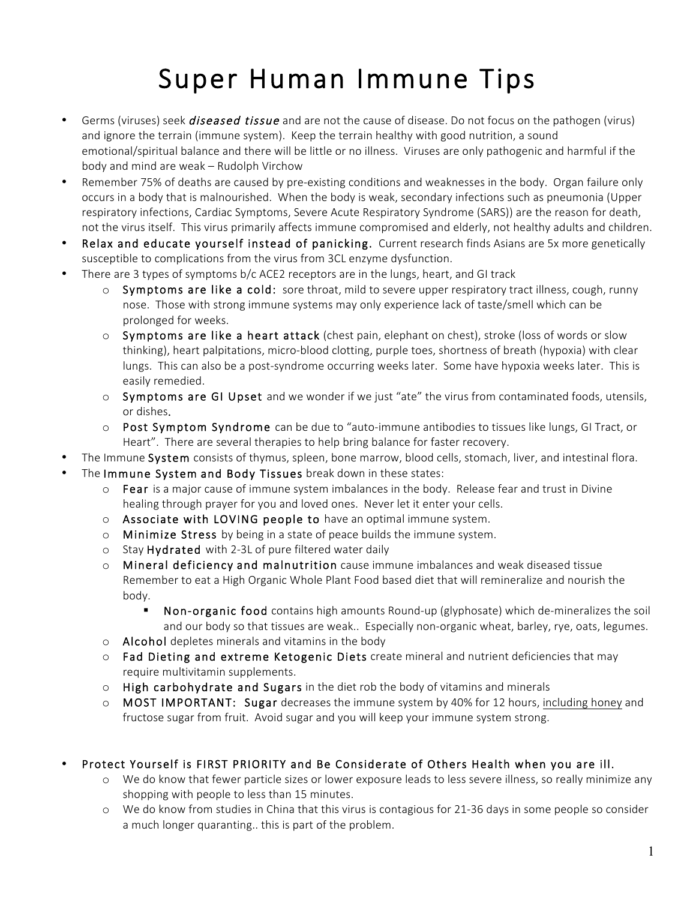# Super Human Immune Tips

- Germs (viruses) seek *diseased tissue* and are not the cause of disease. Do not focus on the pathogen (virus) and ignore the terrain (immune system). Keep the terrain healthy with good nutrition, a sound emotional/spiritual balance and there will be little or no illness. Viruses are only pathogenic and harmful if the body and mind are weak – Rudolph Virchow
- Remember 75% of deaths are caused by pre-existing conditions and weaknesses in the body. Organ failure only occurs in a body that is malnourished. When the body is weak, secondary infections such as pneumonia (Upper respiratory infections, Cardiac Symptoms, Severe Acute Respiratory Syndrome (SARS)) are the reason for death, not the virus itself. This virus primarily affects immune compromised and elderly, not healthy adults and children.
- Relax and educate yourself instead of panicking. Current research finds Asians are 5x more genetically susceptible to complications from the virus from 3CL enzyme dysfunction.
- There are 3 types of symptoms b/c ACE2 receptors are in the lungs, heart, and GI track
	- $\circ$  Symptoms are like a cold: sore throat, mild to severe upper respiratory tract illness, cough, runny nose. Those with strong immune systems may only experience lack of taste/smell which can be prolonged for weeks.
	- $\circ$  Symptoms are like a heart attack (chest pain, elephant on chest), stroke (loss of words or slow thinking), heart palpitations, micro-blood clotting, purple toes, shortness of breath (hypoxia) with clear lungs. This can also be a post-syndrome occurring weeks later. Some have hypoxia weeks later. This is easily remedied.
	- o Symptoms are GI Upset and we wonder if we just "ate" the virus from contaminated foods, utensils, or dishes.
	- $\circ$  Post Symptom Syndrome can be due to "auto-immune antibodies to tissues like lungs, GI Tract, or Heart". There are several therapies to help bring balance for faster recovery.
- The Immune System consists of thymus, spleen, bone marrow, blood cells, stomach, liver, and intestinal flora.
- The Immune System and Body Tissues break down in these states:
	- $\circ$  Fear is a major cause of immune system imbalances in the body. Release fear and trust in Divine healing through prayer for you and loved ones. Never let it enter your cells.
	- o Associate with LOVING people to have an optimal immune system.
	- $\circ$  Minimize Stress by being in a state of peace builds the immune system.
	- o Stay Hydrated with 2-3L of pure filtered water daily
	- $\circ$  Mineral deficiency and malnutrition cause immune imbalances and weak diseased tissue Remember to eat a High Organic Whole Plant Food based diet that will remineralize and nourish the body.
		- § Non-organic food contains high amounts Round-up (glyphosate) which de-mineralizes the soil and our body so that tissues are weak.. Especially non-organic wheat, barley, rye, oats, legumes.
	- o Alcohol depletes minerals and vitamins in the body
	- $\circ$  Fad Dieting and extreme Ketogenic Diets create mineral and nutrient deficiencies that may require multivitamin supplements.
	- $\circ$  High carbohydrate and Sugars in the diet rob the body of vitamins and minerals
	- $\circ$  MOST IMPORTANT: Sugar decreases the immune system by 40% for 12 hours, including honey and fructose sugar from fruit. Avoid sugar and you will keep your immune system strong.

#### • Protect Yourself is FIRST PRIORITY and Be Considerate of Others Health when you are ill.

- o We do know that fewer particle sizes or lower exposure leads to less severe illness, so really minimize any shopping with people to less than 15 minutes.
- o We do know from studies in China that this virus is contagious for 21-36 days in some people so consider a much longer quaranting.. this is part of the problem.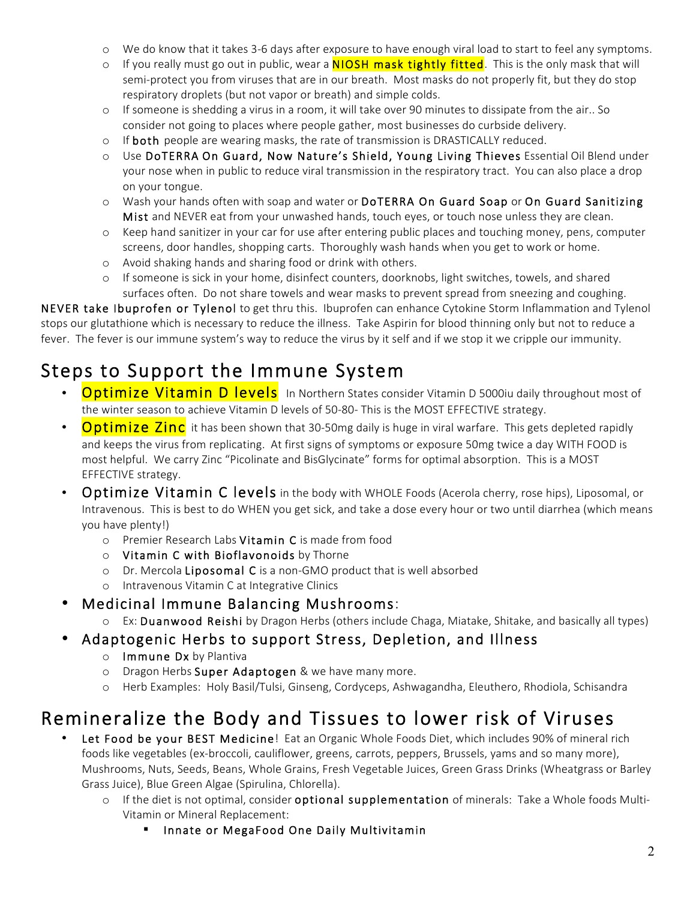- o We do know that it takes 3-6 days after exposure to have enough viral load to start to feel any symptoms.
- $\circ$  If you really must go out in public, wear a **NIOSH mask tightly fitted**. This is the only mask that will semi-protect you from viruses that are in our breath. Most masks do not properly fit, but they do stop respiratory droplets (but not vapor or breath) and simple colds.
- o If someone is shedding a virus in a room, it will take over 90 minutes to dissipate from the air.. So consider not going to places where people gather, most businesses do curbside delivery.
- $\circ$  If both people are wearing masks, the rate of transmission is DRASTICALLY reduced.
- o Use DoTERRA On Guard, Now Nature's Shield, Young Living Thieves Essential Oil Blend under your nose when in public to reduce viral transmission in the respiratory tract. You can also place a drop on your tongue.
- o Wash your hands often with soap and water or DoTERRA On Guard Soap or On Guard Sanitizing Mist and NEVER eat from your unwashed hands, touch eyes, or touch nose unless they are clean.
- o Keep hand sanitizer in your car for use after entering public places and touching money, pens, computer screens, door handles, shopping carts. Thoroughly wash hands when you get to work or home.
- o Avoid shaking hands and sharing food or drink with others.
- o If someone is sick in your home, disinfect counters, doorknobs, light switches, towels, and shared surfaces often. Do not share towels and wear masks to prevent spread from sneezing and coughing.

NEVER take Ibuprofen or Tylenol to get thru this. Ibuprofen can enhance Cytokine Storm Inflammation and Tylenol stops our glutathione which is necessary to reduce the illness. Take Aspirin for blood thinning only but not to reduce a fever. The fever is our immune system's way to reduce the virus by it self and if we stop it we cripple our immunity.

# Steps to Support the Immune System

- **Optimize Vitamin D levels** In Northern States consider Vitamin D 5000iu daily throughout most of the winter season to achieve Vitamin D levels of 50-80- This is the MOST EFFECTIVE strategy.
- **Optimize Zinc** it has been shown that 30-50mg daily is huge in viral warfare. This gets depleted rapidly and keeps the virus from replicating. At first signs of symptoms or exposure 50mg twice a day WITH FOOD is most helpful. We carry Zinc "Picolinate and BisGlycinate" forms for optimal absorption. This is a MOST EFFECTIVE strategy.
- Optimize Vitamin C levels in the body with WHOLE Foods (Acerola cherry, rose hips), Liposomal, or Intravenous. This is best to do WHEN you get sick, and take a dose every hour or two until diarrhea (which means you have plenty!)
	- o Premier Research Labs Vitamin C is made from food
	- o Vitamin C with Bioflavonoids by Thorne
	- o Dr. Mercola Liposomal C is a non-GMO product that is well absorbed
	- o Intravenous Vitamin C at Integrative Clinics
- Medicinal Immune Balancing Mushrooms:
	- o Ex: Duanwood Reishi by Dragon Herbs (others include Chaga, Miatake, Shitake, and basically all types)
- Adaptogenic Herbs to support Stress, Depletion, and Illness
	- o Immune Dx by Plantiva
	- o Dragon Herbs Super Adaptogen & we have many more.
	- o Herb Examples: Holy Basil/Tulsi, Ginseng, Cordyceps, Ashwagandha, Eleuthero, Rhodiola, Schisandra

## Remineralize the Body and Tissues to lower risk of Viruses

- Let Food be your BEST Medicine! Eat an Organic Whole Foods Diet, which includes 90% of mineral rich foods like vegetables (ex-broccoli, cauliflower, greens, carrots, peppers, Brussels, yams and so many more), Mushrooms, Nuts, Seeds, Beans, Whole Grains, Fresh Vegetable Juices, Green Grass Drinks (Wheatgrass or Barley Grass Juice), Blue Green Algae (Spirulina, Chlorella).
	- o If the diet is not optimal, consider optional supplementation of minerals: Take a Whole foods Multi-Vitamin or Mineral Replacement:
		- Innate or MegaFood One Daily Multivitamin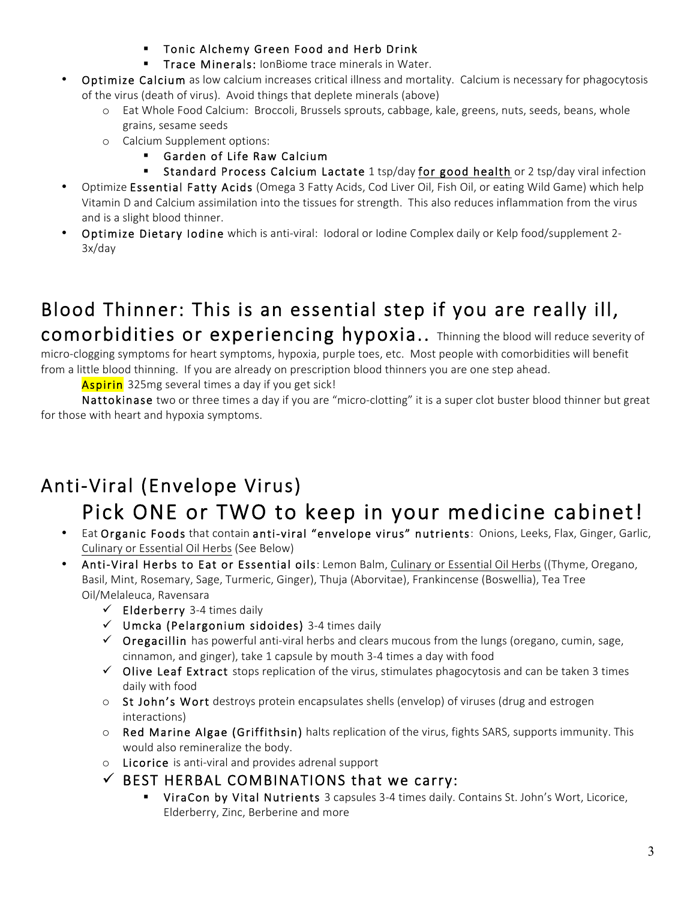- § Tonic Alchemy Green Food and Herb Drink
- **Trace Minerals: IonBiome trace minerals in Water.**
- Optimize Calcium as low calcium increases critical illness and mortality. Calcium is necessary for phagocytosis of the virus (death of virus). Avoid things that deplete minerals (above)
	- o Eat Whole Food Calcium: Broccoli, Brussels sprouts, cabbage, kale, greens, nuts, seeds, beans, whole grains, sesame seeds
	- o Calcium Supplement options:
		- § Garden of Life Raw Calcium
		- Standard Process Calcium Lactate 1 tsp/day for good health or 2 tsp/day viral infection
- Optimize Essential Fatty Acids (Omega 3 Fatty Acids, Cod Liver Oil, Fish Oil, or eating Wild Game) which help Vitamin D and Calcium assimilation into the tissues for strength. This also reduces inflammation from the virus and is a slight blood thinner.
- Optimize Dietary Iodine which is anti-viral: Iodoral or Iodine Complex daily or Kelp food/supplement 2- 3x/day

### Blood Thinner: This is an essential step if you are really ill, comorbidities or experiencing hypoxia.. Thinning the blood will reduce severity of

micro-clogging symptoms for heart symptoms, hypoxia, purple toes, etc. Most people with comorbidities will benefit from a little blood thinning. If you are already on prescription blood thinners you are one step ahead.<br>**Aspirin** 325mg several times a day if you get sick!

Nattokinase two or three times a day if you are "micro-clotting" it is a super clot buster blood thinner but great for those with heart and hypoxia symptoms.

## Anti-Viral (Envelope Virus)

# Pick ONE or TWO to keep in your medicine cabinet!

- Eat Organic Foods that contain anti-viral "envelope virus" nutrients: Onions, Leeks, Flax, Ginger, Garlic, Culinary or Essential Oil Herbs (See Below)
- Anti-Viral Herbs to Eat or Essential oils: Lemon Balm, Culinary or Essential Oil Herbs ((Thyme, Oregano, Basil, Mint, Rosemary, Sage, Turmeric, Ginger), Thuja (Aborvitae), Frankincense (Boswellia), Tea Tree Oil/Melaleuca, Ravensara
	- $\checkmark$  Elderberry 3-4 times daily
	- $\nu$  Umcka (Pelargonium sidoides) 3-4 times daily
	- $\checkmark$  Oregacillin has powerful anti-viral herbs and clears mucous from the lungs (oregano, cumin, sage, cinnamon, and ginger), take 1 capsule by mouth 3-4 times a day with food
	- $\checkmark$  Olive Leaf Extract stops replication of the virus, stimulates phagocytosis and can be taken 3 times daily with food
	- $\circ$  St John's Wort destroys protein encapsulates shells (envelop) of viruses (drug and estrogen interactions)
	- $\circ$  Red Marine Algae (Griffithsin) halts replication of the virus, fights SARS, supports immunity. This would also remineralize the body.
	- o Licorice is anti-viral and provides adrenal support
	- $\checkmark$  BEST HERBAL COMBINATIONS that we carry:
		- **ViraCon by Vital Nutrients** 3 capsules 3-4 times daily. Contains St. John's Wort, Licorice, Elderberry, Zinc, Berberine and more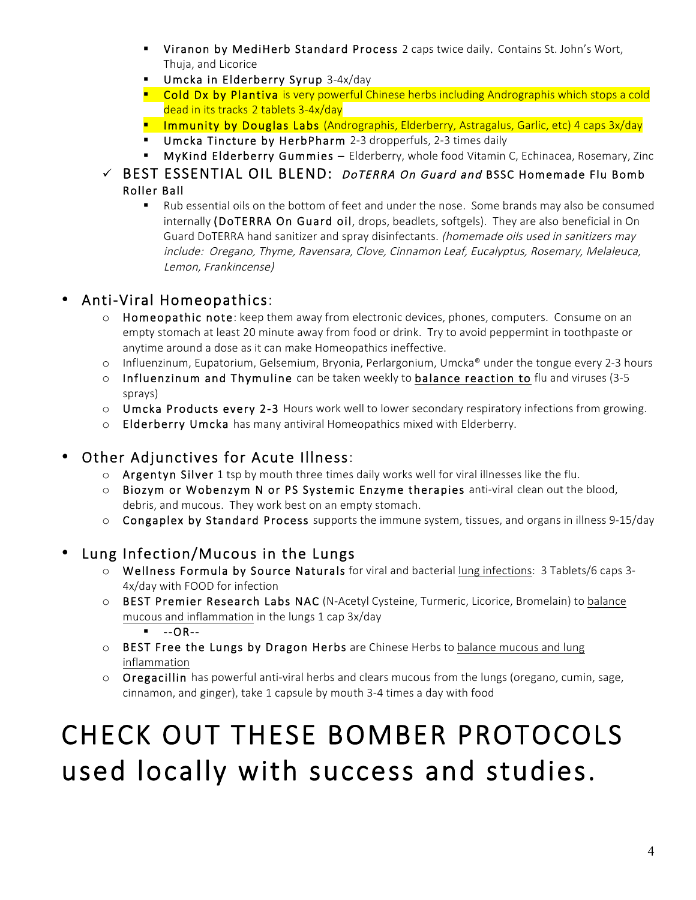- Viranon by MediHerb Standard Process 2 caps twice daily. Contains St. John's Wort, Thuja, and Licorice
- § Umcka in Elderberry Syrup 3-4x/day
- **Cold Dx by Plantiva** is very powerful Chinese herbs including Andrographis which stops a cold dead in its tracks 2 tablets 3-4x/day
- **E** Immunity by Douglas Labs (Andrographis, Elderberry, Astragalus, Garlic, etc) 4 caps 3x/day
- Umcka Tincture by HerbPharm 2-3 dropperfuls, 2-3 times daily
- § MyKind Elderberry Gummies Elderberry, whole food Vitamin C, Echinacea, Rosemary, Zinc
- $\checkmark$  BEST ESSENTIAL OIL BLEND: *DoTERRA On Guard and* BSSC Homemade Flu Bomb Roller Ball
	- § Rub essential oils on the bottom of feet and under the nose. Some brands may also be consumed internally (DoTERRA On Guard oil, drops, beadlets, softgels). They are also beneficial in On Guard DoTERRA hand sanitizer and spray disinfectants. (homemade oils used in sanitizers may include: Oregano, Thyme, Ravensara, Clove, Cinnamon Leaf, Eucalyptus, Rosemary, Melaleuca, Lemon, Frankincense)

#### • Anti-Viral Homeopathics:

- $\circ$  Homeopathic note: keep them away from electronic devices, phones, computers. Consume on an empty stomach at least 20 minute away from food or drink. Try to avoid peppermint in toothpaste or anytime around a dose as it can make Homeopathics ineffective.
- o Influenzinum, Eupatorium, Gelsemium, Bryonia, Perlargonium, Umcka® under the tongue every 2-3 hours
- $\circ$  Influenzinum and Thymuline can be taken weekly to balance reaction to flu and viruses (3-5) sprays)
- $\circ$  Umcka Products every 2-3 Hours work well to lower secondary respiratory infections from growing.
- o Elderberry Umcka has many antiviral Homeopathics mixed with Elderberry.

### • Other Adjunctives for Acute Illness:

- $\circ$  Argentyn Silver 1 tsp by mouth three times daily works well for viral illnesses like the flu.
- o Biozym or Wobenzym N or PS Systemic Enzyme therapies anti-viral clean out the blood, debris, and mucous. They work best on an empty stomach.
- o Congaplex by Standard Process supports the immune system, tissues, and organs in illness 9-15/day

#### • Lung Infection/Mucous in the Lungs

- o Wellness Formula by Source Naturals for viral and bacterial lung infections: 3 Tablets/6 caps 3- 4x/day with FOOD for infection
- o BEST Premier Research Labs NAC (N-Acetyl Cysteine, Turmeric, Licorice, Bromelain) to balance mucous and inflammation in the lungs 1 cap 3x/day

 $\blacksquare$  --OR--

- $\circ$  BEST Free the Lungs by Dragon Herbs are Chinese Herbs to balance mucous and lung inflammation
- $\circ$  Oregacillin has powerful anti-viral herbs and clears mucous from the lungs (oregano, cumin, sage, cinnamon, and ginger), take 1 capsule by mouth 3-4 times a day with food

# CHECK OUT THESE BOMBER PROTOCOLS used locally with success and studies.